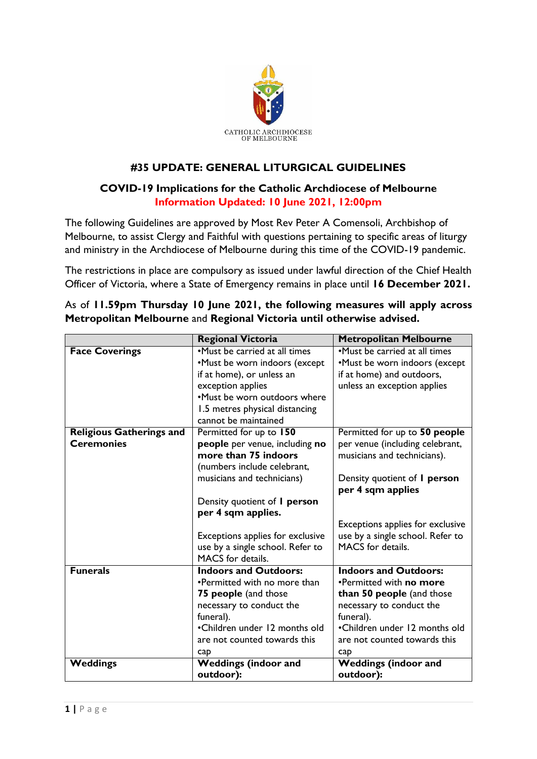

## **#35 UPDATE: GENERAL LITURGICAL GUIDELINES**

## **COVID-19 Implications for the Catholic Archdiocese of Melbourne Information Updated: 10 June 2021, 12:00pm**

The following Guidelines are approved by Most Rev Peter A Comensoli, Archbishop of Melbourne, to assist Clergy and Faithful with questions pertaining to specific areas of liturgy and ministry in the Archdiocese of Melbourne during this time of the COVID-19 pandemic.

The restrictions in place are compulsory as issued under lawful direction of the Chief Health Officer of Victoria, where a State of Emergency remains in place until **16 December 2021.**

|                                 | <b>Regional Victoria</b>                                             | <b>Metropolitan Melbourne</b>                                  |
|---------------------------------|----------------------------------------------------------------------|----------------------------------------------------------------|
| <b>Face Coverings</b>           | •Must be carried at all times<br>•Must be worn indoors (except       | •Must be carried at all times<br>•Must be worn indoors (except |
|                                 | if at home), or unless an<br>exception applies                       | if at home) and outdoors,<br>unless an exception applies       |
|                                 | •Must be worn outdoors where                                         |                                                                |
|                                 | 1.5 metres physical distancing<br>cannot be maintained               |                                                                |
| <b>Religious Gatherings and</b> | Permitted for up to 150                                              | Permitted for up to 50 people                                  |
| <b>Ceremonies</b>               | people per venue, including no<br>more than 75 indoors               | per venue (including celebrant,<br>musicians and technicians). |
|                                 | (numbers include celebrant,                                          |                                                                |
|                                 | musicians and technicians)                                           | Density quotient of <i>I</i> person<br>per 4 sqm applies       |
|                                 | Density quotient of <i>I</i> person                                  |                                                                |
|                                 | per 4 sqm applies.                                                   |                                                                |
|                                 |                                                                      | Exceptions applies for exclusive                               |
|                                 | Exceptions applies for exclusive<br>use by a single school. Refer to | use by a single school. Refer to<br>MACS for details.          |
|                                 | MACS for details.                                                    |                                                                |
| <b>Funerals</b>                 | <b>Indoors and Outdoors:</b>                                         | <b>Indoors and Outdoors:</b>                                   |
|                                 | •Permitted with no more than                                         | •Permitted with no more                                        |
|                                 | 75 people (and those                                                 | than 50 people (and those                                      |
|                                 | necessary to conduct the                                             | necessary to conduct the                                       |
|                                 | funeral).<br>•Children under 12 months old                           | funeral).<br>•Children under 12 months old                     |
|                                 | are not counted towards this                                         | are not counted towards this                                   |
|                                 | cap                                                                  | cap                                                            |
| <b>Weddings</b>                 | <b>Weddings (indoor and</b>                                          | <b>Weddings (indoor and</b>                                    |
|                                 | outdoor):                                                            | outdoor):                                                      |

As of **11.59pm Thursday 10 June 2021, the following measures will apply across Metropolitan Melbourne** and **Regional Victoria until otherwise advised.**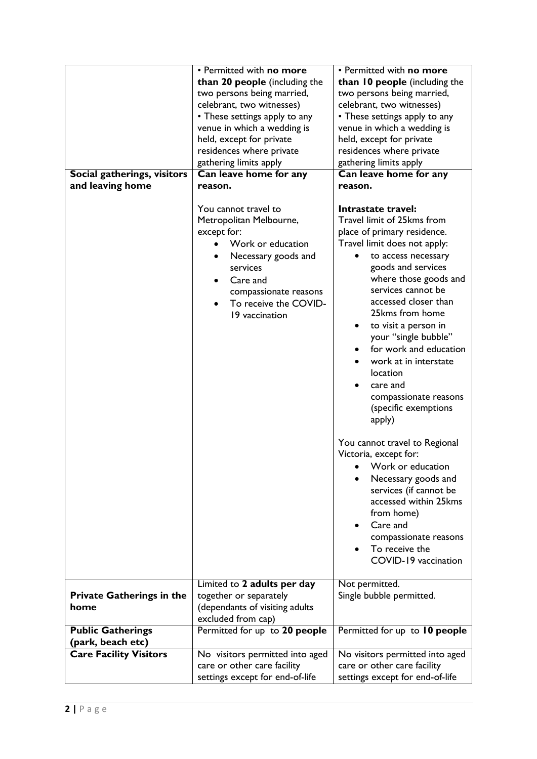|                                  | • Permitted with no more        | • Permitted with no more                      |
|----------------------------------|---------------------------------|-----------------------------------------------|
|                                  | than 20 people (including the   | than 10 people (including the                 |
|                                  | two persons being married,      | two persons being married,                    |
|                                  | celebrant, two witnesses)       | celebrant, two witnesses)                     |
|                                  | • These settings apply to any   | • These settings apply to any                 |
|                                  | venue in which a wedding is     | venue in which a wedding is                   |
|                                  | held, except for private        | held, except for private                      |
|                                  | residences where private        | residences where private                      |
|                                  | gathering limits apply          | gathering limits apply                        |
| Social gatherings, visitors      | Can leave home for any          | Can leave home for any                        |
| and leaving home                 | reason.                         | reason.                                       |
|                                  |                                 |                                               |
|                                  | You cannot travel to            | Intrastate travel:                            |
|                                  | Metropolitan Melbourne,         | Travel limit of 25kms from                    |
|                                  | except for:                     | place of primary residence.                   |
|                                  | Work or education               | Travel limit does not apply:                  |
|                                  | Necessary goods and             | to access necessary                           |
|                                  | services                        | goods and services                            |
|                                  | Care and                        | where those goods and                         |
|                                  | compassionate reasons           | services cannot be                            |
|                                  | To receive the COVID-           | accessed closer than                          |
|                                  | 19 vaccination                  | 25kms from home                               |
|                                  |                                 | to visit a person in                          |
|                                  |                                 | your "single bubble"                          |
|                                  |                                 | for work and education                        |
|                                  |                                 | work at in interstate                         |
|                                  |                                 | <i>location</i>                               |
|                                  |                                 | care and                                      |
|                                  |                                 | compassionate reasons                         |
|                                  |                                 | (specific exemptions                          |
|                                  |                                 | apply)                                        |
|                                  |                                 | You cannot travel to Regional                 |
|                                  |                                 | Victoria, except for:                         |
|                                  |                                 | • Work or education                           |
|                                  |                                 |                                               |
|                                  |                                 | Necessary goods and<br>services (if cannot be |
|                                  |                                 | accessed within 25kms                         |
|                                  |                                 | from home)                                    |
|                                  |                                 | Care and<br>$\bullet$                         |
|                                  |                                 | compassionate reasons                         |
|                                  |                                 | To receive the                                |
|                                  |                                 | COVID-19 vaccination                          |
|                                  |                                 |                                               |
|                                  | Limited to 2 adults per day     | Not permitted.                                |
| <b>Private Gatherings in the</b> | together or separately          | Single bubble permitted.                      |
| home                             | (dependants of visiting adults  |                                               |
|                                  | excluded from cap)              |                                               |
| <b>Public Gatherings</b>         | Permitted for up to 20 people   | Permitted for up to 10 people                 |
| (park, beach etc)                |                                 |                                               |
| <b>Care Facility Visitors</b>    | No visitors permitted into aged | No visitors permitted into aged               |
|                                  | care or other care facility     | care or other care facility                   |
|                                  | settings except for end-of-life | settings except for end-of-life               |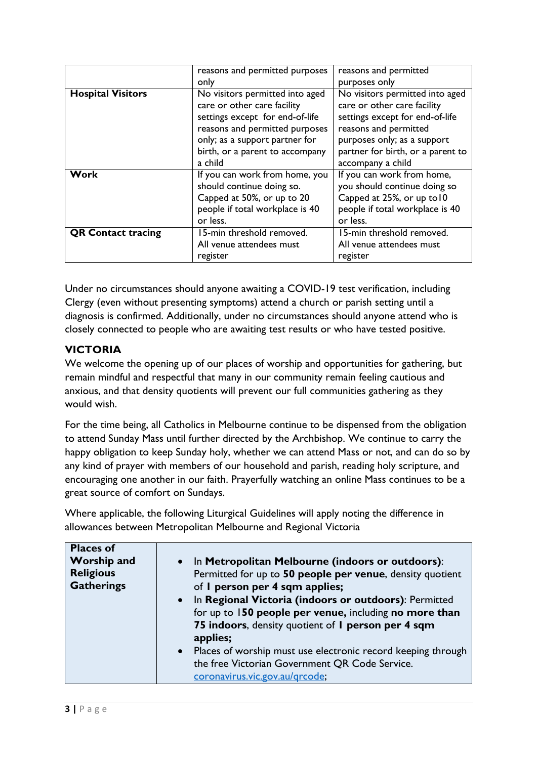|                           | reasons and permitted purposes                                                                                                                                                                                      | reasons and permitted                                                                                                                                                                                               |
|---------------------------|---------------------------------------------------------------------------------------------------------------------------------------------------------------------------------------------------------------------|---------------------------------------------------------------------------------------------------------------------------------------------------------------------------------------------------------------------|
|                           | only                                                                                                                                                                                                                | purposes only                                                                                                                                                                                                       |
| <b>Hospital Visitors</b>  | No visitors permitted into aged<br>care or other care facility<br>settings except for end-of-life<br>reasons and permitted purposes<br>only; as a support partner for<br>birth, or a parent to accompany<br>a child | No visitors permitted into aged<br>care or other care facility<br>settings except for end-of-life<br>reasons and permitted<br>purposes only; as a support<br>partner for birth, or a parent to<br>accompany a child |
| <b>Work</b>               | If you can work from home, you<br>should continue doing so.<br>Capped at 50%, or up to 20<br>people if total workplace is 40<br>or less.                                                                            | If you can work from home,<br>you should continue doing so<br>Capped at 25%, or up to 10<br>people if total workplace is 40<br>or less.                                                                             |
| <b>QR Contact tracing</b> | 15-min threshold removed.                                                                                                                                                                                           | 15-min threshold removed.                                                                                                                                                                                           |
|                           | All venue attendees must                                                                                                                                                                                            | All venue attendees must                                                                                                                                                                                            |
|                           | register                                                                                                                                                                                                            | register                                                                                                                                                                                                            |

Under no circumstances should anyone awaiting a COVID-19 test verification, including Clergy (even without presenting symptoms) attend a church or parish setting until a diagnosis is confirmed. Additionally, under no circumstances should anyone attend who is closely connected to people who are awaiting test results or who have tested positive.

## **VICTORIA**

We welcome the opening up of our places of worship and opportunities for gathering, but remain mindful and respectful that many in our community remain feeling cautious and anxious, and that density quotients will prevent our full communities gathering as they would wish.

For the time being, all Catholics in Melbourne continue to be dispensed from the obligation to attend Sunday Mass until further directed by the Archbishop. We continue to carry the happy obligation to keep Sunday holy, whether we can attend Mass or not, and can do so by any kind of prayer with members of our household and parish, reading holy scripture, and encouraging one another in our faith. Prayerfully watching an online Mass continues to be a great source of comfort on Sundays.

Where applicable, the following Liturgical Guidelines will apply noting the difference in allowances between Metropolitan Melbourne and Regional Victoria

| <b>Places of</b><br><b>Worship and</b><br><b>Religious</b><br><b>Gatherings</b> | • In Metropolitan Melbourne (indoors or outdoors):<br>Permitted for up to 50 people per venue, density quotient<br>of I person per 4 sqm applies;<br>• In Regional Victoria (indoors or outdoors): Permitted<br>for up to 150 people per venue, including no more than<br>75 indoors, density quotient of I person per 4 sqm<br>applies;<br>• Places of worship must use electronic record keeping through |
|---------------------------------------------------------------------------------|------------------------------------------------------------------------------------------------------------------------------------------------------------------------------------------------------------------------------------------------------------------------------------------------------------------------------------------------------------------------------------------------------------|
|                                                                                 | the free Victorian Government QR Code Service.<br>coronavirus.vic.gov.au/grcode;                                                                                                                                                                                                                                                                                                                           |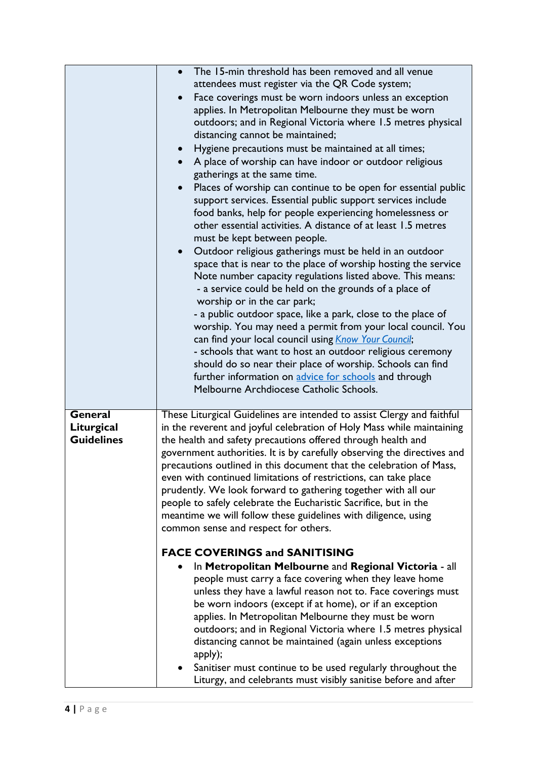|                                            | The 15-min threshold has been removed and all venue<br>attendees must register via the QR Code system;<br>Face coverings must be worn indoors unless an exception<br>applies. In Metropolitan Melbourne they must be worn<br>outdoors; and in Regional Victoria where 1.5 metres physical<br>distancing cannot be maintained;<br>Hygiene precautions must be maintained at all times;<br>$\bullet$<br>A place of worship can have indoor or outdoor religious<br>gatherings at the same time.<br>Places of worship can continue to be open for essential public<br>support services. Essential public support services include<br>food banks, help for people experiencing homelessness or<br>other essential activities. A distance of at least 1.5 metres<br>must be kept between people.<br>Outdoor religious gatherings must be held in an outdoor<br>$\bullet$<br>space that is near to the place of worship hosting the service<br>Note number capacity regulations listed above. This means:<br>- a service could be held on the grounds of a place of<br>worship or in the car park;<br>- a public outdoor space, like a park, close to the place of<br>worship. You may need a permit from your local council. You<br>can find your local council using <i>Know Your Council</i> ;<br>- schools that want to host an outdoor religious ceremony |
|--------------------------------------------|----------------------------------------------------------------------------------------------------------------------------------------------------------------------------------------------------------------------------------------------------------------------------------------------------------------------------------------------------------------------------------------------------------------------------------------------------------------------------------------------------------------------------------------------------------------------------------------------------------------------------------------------------------------------------------------------------------------------------------------------------------------------------------------------------------------------------------------------------------------------------------------------------------------------------------------------------------------------------------------------------------------------------------------------------------------------------------------------------------------------------------------------------------------------------------------------------------------------------------------------------------------------------------------------------------------------------------------------------------|
|                                            | should do so near their place of worship. Schools can find<br>further information on advice for schools and through<br>Melbourne Archdiocese Catholic Schools.                                                                                                                                                                                                                                                                                                                                                                                                                                                                                                                                                                                                                                                                                                                                                                                                                                                                                                                                                                                                                                                                                                                                                                                           |
| General<br>Liturgical<br><b>Guidelines</b> | These Liturgical Guidelines are intended to assist Clergy and faithful<br>in the reverent and joyful celebration of Holy Mass while maintaining<br>the health and safety precautions offered through health and<br>government authorities. It is by carefully observing the directives and<br>precautions outlined in this document that the celebration of Mass,<br>even with continued limitations of restrictions, can take place<br>prudently. We look forward to gathering together with all our<br>people to safely celebrate the Eucharistic Sacrifice, but in the<br>meantime we will follow these guidelines with diligence, using<br>common sense and respect for others.                                                                                                                                                                                                                                                                                                                                                                                                                                                                                                                                                                                                                                                                      |
|                                            | <b>FACE COVERINGS and SANITISING</b><br>In Metropolitan Melbourne and Regional Victoria - all<br>people must carry a face covering when they leave home<br>unless they have a lawful reason not to. Face coverings must<br>be worn indoors (except if at home), or if an exception<br>applies. In Metropolitan Melbourne they must be worn<br>outdoors; and in Regional Victoria where 1.5 metres physical<br>distancing cannot be maintained (again unless exceptions<br>apply);<br>Sanitiser must continue to be used regularly throughout the<br>Liturgy, and celebrants must visibly sanitise before and after                                                                                                                                                                                                                                                                                                                                                                                                                                                                                                                                                                                                                                                                                                                                       |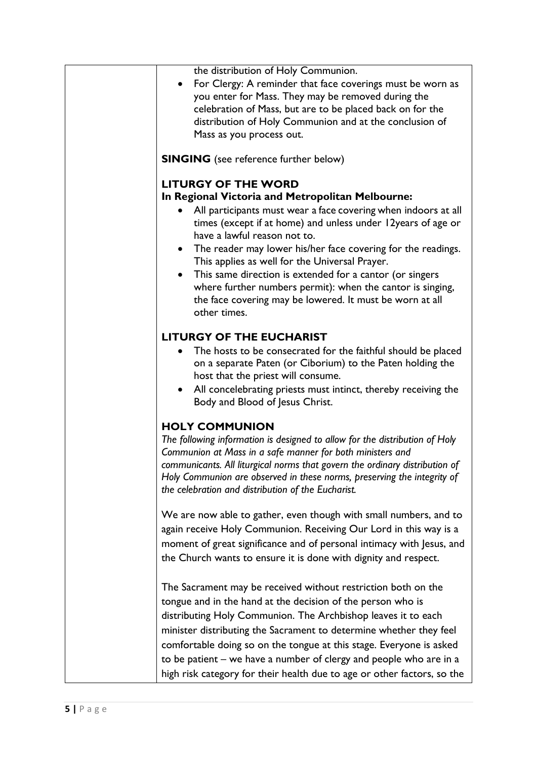| the distribution of Holy Communion.<br>For Clergy: A reminder that face coverings must be worn as<br>you enter for Mass. They may be removed during the<br>celebration of Mass, but are to be placed back on for the<br>distribution of Holy Communion and at the conclusion of<br>Mass as you process out.                                                                                                                                                                                                                                                                           |
|---------------------------------------------------------------------------------------------------------------------------------------------------------------------------------------------------------------------------------------------------------------------------------------------------------------------------------------------------------------------------------------------------------------------------------------------------------------------------------------------------------------------------------------------------------------------------------------|
| <b>SINGING</b> (see reference further below)                                                                                                                                                                                                                                                                                                                                                                                                                                                                                                                                          |
| <b>LITURGY OF THE WORD</b><br>In Regional Victoria and Metropolitan Melbourne:<br>All participants must wear a face covering when indoors at all<br>times (except if at home) and unless under 12years of age or<br>have a lawful reason not to.<br>The reader may lower his/her face covering for the readings.<br>$\bullet$<br>This applies as well for the Universal Prayer.<br>This same direction is extended for a cantor (or singers<br>where further numbers permit): when the cantor is singing,<br>the face covering may be lowered. It must be worn at all<br>other times. |
| <b>LITURGY OF THE EUCHARIST</b><br>The hosts to be consecrated for the faithful should be placed<br>on a separate Paten (or Ciborium) to the Paten holding the<br>host that the priest will consume.<br>All concelebrating priests must intinct, thereby receiving the<br>$\bullet$<br>Body and Blood of Jesus Christ.                                                                                                                                                                                                                                                                |
| <b>HOLY COMMUNION</b><br>The following information is designed to allow for the distribution of Holy<br>Communion at Mass in a safe manner for both ministers and<br>communicants. All liturgical norms that govern the ordinary distribution of<br>Holy Communion are observed in these norms, preserving the integrity of<br>the celebration and distribution of the Eucharist.<br>We are now able to gather, even though with small numbers, and to                                                                                                                                |
| again receive Holy Communion. Receiving Our Lord in this way is a<br>moment of great significance and of personal intimacy with Jesus, and<br>the Church wants to ensure it is done with dignity and respect.                                                                                                                                                                                                                                                                                                                                                                         |
| The Sacrament may be received without restriction both on the<br>tongue and in the hand at the decision of the person who is<br>distributing Holy Communion. The Archbishop leaves it to each<br>minister distributing the Sacrament to determine whether they feel<br>comfortable doing so on the tongue at this stage. Everyone is asked<br>to be patient – we have a number of clergy and people who are in a<br>high risk category for their health due to age or other factors, so the                                                                                           |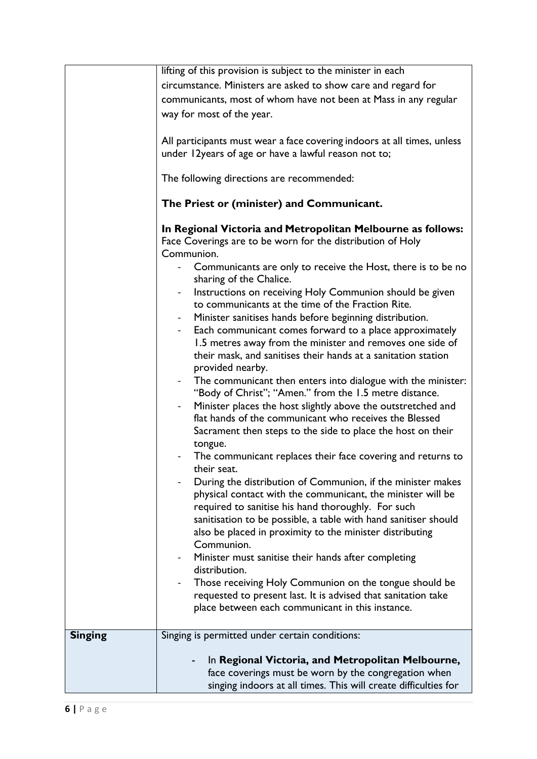|                | lifting of this provision is subject to the minister in each                                                                                                                                                                                                                                                                                                                                                                                                                                                                                                                                                                                                                                                                                                                                                                                                                                                                                                                                                                                                                                                                                                                                                                                                                                                                                                                                                                                                                                                                                                                |
|----------------|-----------------------------------------------------------------------------------------------------------------------------------------------------------------------------------------------------------------------------------------------------------------------------------------------------------------------------------------------------------------------------------------------------------------------------------------------------------------------------------------------------------------------------------------------------------------------------------------------------------------------------------------------------------------------------------------------------------------------------------------------------------------------------------------------------------------------------------------------------------------------------------------------------------------------------------------------------------------------------------------------------------------------------------------------------------------------------------------------------------------------------------------------------------------------------------------------------------------------------------------------------------------------------------------------------------------------------------------------------------------------------------------------------------------------------------------------------------------------------------------------------------------------------------------------------------------------------|
|                | circumstance. Ministers are asked to show care and regard for                                                                                                                                                                                                                                                                                                                                                                                                                                                                                                                                                                                                                                                                                                                                                                                                                                                                                                                                                                                                                                                                                                                                                                                                                                                                                                                                                                                                                                                                                                               |
|                |                                                                                                                                                                                                                                                                                                                                                                                                                                                                                                                                                                                                                                                                                                                                                                                                                                                                                                                                                                                                                                                                                                                                                                                                                                                                                                                                                                                                                                                                                                                                                                             |
|                | communicants, most of whom have not been at Mass in any regular                                                                                                                                                                                                                                                                                                                                                                                                                                                                                                                                                                                                                                                                                                                                                                                                                                                                                                                                                                                                                                                                                                                                                                                                                                                                                                                                                                                                                                                                                                             |
|                | way for most of the year.                                                                                                                                                                                                                                                                                                                                                                                                                                                                                                                                                                                                                                                                                                                                                                                                                                                                                                                                                                                                                                                                                                                                                                                                                                                                                                                                                                                                                                                                                                                                                   |
|                | All participants must wear a face covering indoors at all times, unless<br>under 12years of age or have a lawful reason not to;                                                                                                                                                                                                                                                                                                                                                                                                                                                                                                                                                                                                                                                                                                                                                                                                                                                                                                                                                                                                                                                                                                                                                                                                                                                                                                                                                                                                                                             |
|                | The following directions are recommended:                                                                                                                                                                                                                                                                                                                                                                                                                                                                                                                                                                                                                                                                                                                                                                                                                                                                                                                                                                                                                                                                                                                                                                                                                                                                                                                                                                                                                                                                                                                                   |
|                | The Priest or (minister) and Communicant.                                                                                                                                                                                                                                                                                                                                                                                                                                                                                                                                                                                                                                                                                                                                                                                                                                                                                                                                                                                                                                                                                                                                                                                                                                                                                                                                                                                                                                                                                                                                   |
|                | In Regional Victoria and Metropolitan Melbourne as follows:<br>Face Coverings are to be worn for the distribution of Holy<br>Communion.<br>Communicants are only to receive the Host, there is to be no<br>sharing of the Chalice.<br>Instructions on receiving Holy Communion should be given<br>to communicants at the time of the Fraction Rite.<br>Minister sanitises hands before beginning distribution.<br>Each communicant comes forward to a place approximately<br>1.5 metres away from the minister and removes one side of<br>their mask, and sanitises their hands at a sanitation station<br>provided nearby.<br>The communicant then enters into dialogue with the minister:<br>"Body of Christ"; "Amen." from the 1.5 metre distance.<br>Minister places the host slightly above the outstretched and<br>flat hands of the communicant who receives the Blessed<br>Sacrament then steps to the side to place the host on their<br>tongue.<br>The communicant replaces their face covering and returns to<br>their seat.<br>During the distribution of Communion, if the minister makes<br>physical contact with the communicant, the minister will be<br>required to sanitise his hand thoroughly. For such<br>sanitisation to be possible, a table with hand sanitiser should<br>also be placed in proximity to the minister distributing<br>Communion.<br>Minister must sanitise their hands after completing<br>distribution.<br>Those receiving Holy Communion on the tongue should be<br>requested to present last. It is advised that sanitation take |
|                | place between each communicant in this instance.                                                                                                                                                                                                                                                                                                                                                                                                                                                                                                                                                                                                                                                                                                                                                                                                                                                                                                                                                                                                                                                                                                                                                                                                                                                                                                                                                                                                                                                                                                                            |
| <b>Singing</b> | Singing is permitted under certain conditions:                                                                                                                                                                                                                                                                                                                                                                                                                                                                                                                                                                                                                                                                                                                                                                                                                                                                                                                                                                                                                                                                                                                                                                                                                                                                                                                                                                                                                                                                                                                              |
|                | In Regional Victoria, and Metropolitan Melbourne,<br>face coverings must be worn by the congregation when<br>singing indoors at all times. This will create difficulties for                                                                                                                                                                                                                                                                                                                                                                                                                                                                                                                                                                                                                                                                                                                                                                                                                                                                                                                                                                                                                                                                                                                                                                                                                                                                                                                                                                                                |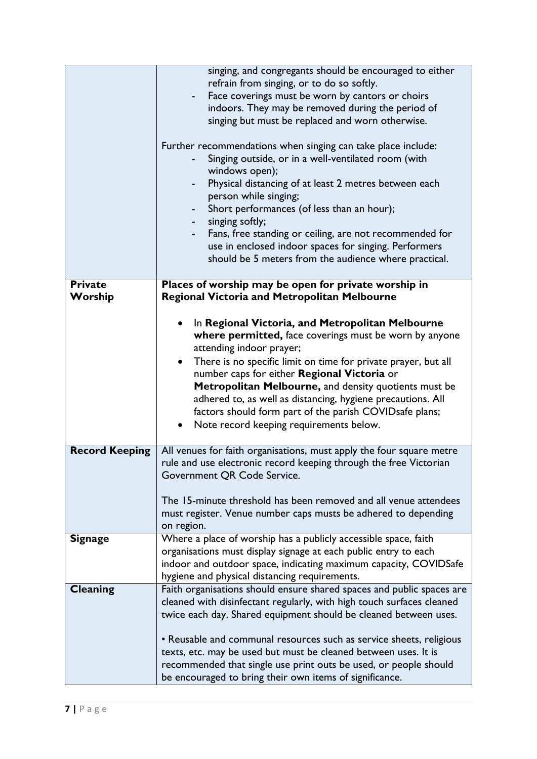|                           | singing, and congregants should be encouraged to either<br>refrain from singing, or to do so softly.<br>Face coverings must be worn by cantors or choirs<br>indoors. They may be removed during the period of<br>singing but must be replaced and worn otherwise.<br>Further recommendations when singing can take place include:<br>Singing outside, or in a well-ventilated room (with<br>windows open);<br>Physical distancing of at least 2 metres between each<br>person while singing;<br>Short performances (of less than an hour);<br>singing softly;<br>Fans, free standing or ceiling, are not recommended for<br>use in enclosed indoor spaces for singing. Performers<br>should be 5 meters from the audience where practical. |
|---------------------------|--------------------------------------------------------------------------------------------------------------------------------------------------------------------------------------------------------------------------------------------------------------------------------------------------------------------------------------------------------------------------------------------------------------------------------------------------------------------------------------------------------------------------------------------------------------------------------------------------------------------------------------------------------------------------------------------------------------------------------------------|
| <b>Private</b><br>Worship | Places of worship may be open for private worship in<br><b>Regional Victoria and Metropolitan Melbourne</b>                                                                                                                                                                                                                                                                                                                                                                                                                                                                                                                                                                                                                                |
|                           |                                                                                                                                                                                                                                                                                                                                                                                                                                                                                                                                                                                                                                                                                                                                            |
|                           | In Regional Victoria, and Metropolitan Melbourne<br>where permitted, face coverings must be worn by anyone                                                                                                                                                                                                                                                                                                                                                                                                                                                                                                                                                                                                                                 |
|                           | attending indoor prayer;                                                                                                                                                                                                                                                                                                                                                                                                                                                                                                                                                                                                                                                                                                                   |
|                           | There is no specific limit on time for private prayer, but all<br>$\bullet$                                                                                                                                                                                                                                                                                                                                                                                                                                                                                                                                                                                                                                                                |
|                           | number caps for either Regional Victoria or                                                                                                                                                                                                                                                                                                                                                                                                                                                                                                                                                                                                                                                                                                |
|                           | Metropolitan Melbourne, and density quotients must be<br>adhered to, as well as distancing, hygiene precautions. All                                                                                                                                                                                                                                                                                                                                                                                                                                                                                                                                                                                                                       |
|                           | factors should form part of the parish COVIDsafe plans;                                                                                                                                                                                                                                                                                                                                                                                                                                                                                                                                                                                                                                                                                    |
|                           | Note record keeping requirements below.                                                                                                                                                                                                                                                                                                                                                                                                                                                                                                                                                                                                                                                                                                    |
| <b>Record Keeping</b>     | All venues for faith organisations, must apply the four square metre                                                                                                                                                                                                                                                                                                                                                                                                                                                                                                                                                                                                                                                                       |
|                           | rule and use electronic record keeping through the free Victorian                                                                                                                                                                                                                                                                                                                                                                                                                                                                                                                                                                                                                                                                          |
|                           | Government QR Code Service.                                                                                                                                                                                                                                                                                                                                                                                                                                                                                                                                                                                                                                                                                                                |
|                           | The 15-minute threshold has been removed and all venue attendees                                                                                                                                                                                                                                                                                                                                                                                                                                                                                                                                                                                                                                                                           |
|                           | must register. Venue number caps musts be adhered to depending                                                                                                                                                                                                                                                                                                                                                                                                                                                                                                                                                                                                                                                                             |
| <b>Signage</b>            | on region.<br>Where a place of worship has a publicly accessible space, faith                                                                                                                                                                                                                                                                                                                                                                                                                                                                                                                                                                                                                                                              |
|                           | organisations must display signage at each public entry to each                                                                                                                                                                                                                                                                                                                                                                                                                                                                                                                                                                                                                                                                            |
|                           | indoor and outdoor space, indicating maximum capacity, COVIDSafe                                                                                                                                                                                                                                                                                                                                                                                                                                                                                                                                                                                                                                                                           |
|                           | hygiene and physical distancing requirements.                                                                                                                                                                                                                                                                                                                                                                                                                                                                                                                                                                                                                                                                                              |
| <b>Cleaning</b>           | Faith organisations should ensure shared spaces and public spaces are                                                                                                                                                                                                                                                                                                                                                                                                                                                                                                                                                                                                                                                                      |
|                           | cleaned with disinfectant regularly, with high touch surfaces cleaned<br>twice each day. Shared equipment should be cleaned between uses.                                                                                                                                                                                                                                                                                                                                                                                                                                                                                                                                                                                                  |
|                           |                                                                                                                                                                                                                                                                                                                                                                                                                                                                                                                                                                                                                                                                                                                                            |
|                           | • Reusable and communal resources such as service sheets, religious                                                                                                                                                                                                                                                                                                                                                                                                                                                                                                                                                                                                                                                                        |
|                           | texts, etc. may be used but must be cleaned between uses. It is<br>recommended that single use print outs be used, or people should                                                                                                                                                                                                                                                                                                                                                                                                                                                                                                                                                                                                        |
|                           | be encouraged to bring their own items of significance.                                                                                                                                                                                                                                                                                                                                                                                                                                                                                                                                                                                                                                                                                    |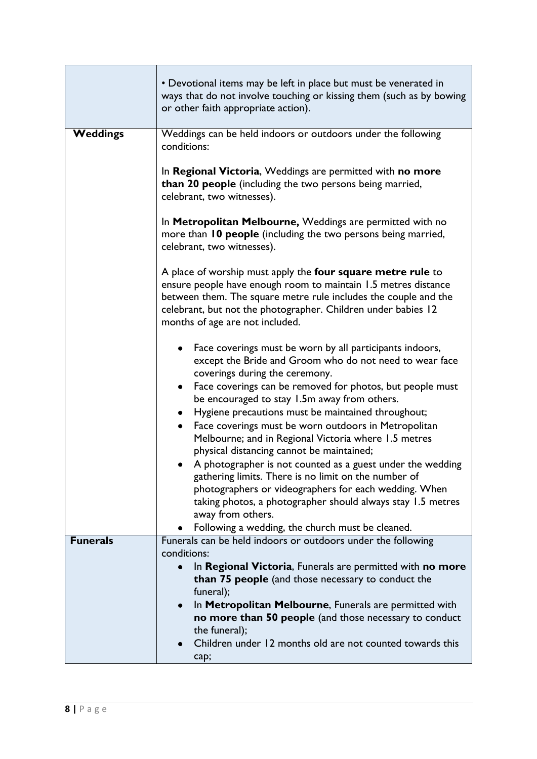|                 | • Devotional items may be left in place but must be venerated in<br>ways that do not involve touching or kissing them (such as by bowing<br>or other faith appropriate action).                                                                                                                                                       |
|-----------------|---------------------------------------------------------------------------------------------------------------------------------------------------------------------------------------------------------------------------------------------------------------------------------------------------------------------------------------|
| <b>Weddings</b> | Weddings can be held indoors or outdoors under the following<br>conditions:                                                                                                                                                                                                                                                           |
|                 | In Regional Victoria, Weddings are permitted with no more<br>than 20 people (including the two persons being married,<br>celebrant, two witnesses).                                                                                                                                                                                   |
|                 | In Metropolitan Melbourne, Weddings are permitted with no<br>more than 10 people (including the two persons being married,<br>celebrant, two witnesses).                                                                                                                                                                              |
|                 | A place of worship must apply the four square metre rule to<br>ensure people have enough room to maintain 1.5 metres distance<br>between them. The square metre rule includes the couple and the<br>celebrant, but not the photographer. Children under babies 12<br>months of age are not included.                                  |
|                 | Face coverings must be worn by all participants indoors,<br>except the Bride and Groom who do not need to wear face<br>coverings during the ceremony.<br>Face coverings can be removed for photos, but people must<br>$\bullet$<br>be encouraged to stay 1.5m away from others.<br>Hygiene precautions must be maintained throughout; |
|                 | Face coverings must be worn outdoors in Metropolitan<br>$\bullet$<br>Melbourne; and in Regional Victoria where 1.5 metres<br>physical distancing cannot be maintained;                                                                                                                                                                |
|                 | A photographer is not counted as a guest under the wedding<br>gathering limits. There is no limit on the number of<br>photographers or videographers for each wedding. When<br>taking photos, a photographer should always stay 1.5 metres<br>away from others.                                                                       |
|                 | Following a wedding, the church must be cleaned.                                                                                                                                                                                                                                                                                      |
| <b>Funerals</b> | Funerals can be held indoors or outdoors under the following<br>conditions:                                                                                                                                                                                                                                                           |
|                 | In Regional Victoria, Funerals are permitted with no more<br>than 75 people (and those necessary to conduct the<br>funeral);                                                                                                                                                                                                          |
|                 | In Metropolitan Melbourne, Funerals are permitted with<br>$\bullet$<br>no more than 50 people (and those necessary to conduct<br>the funeral);                                                                                                                                                                                        |
|                 | Children under 12 months old are not counted towards this<br>cap;                                                                                                                                                                                                                                                                     |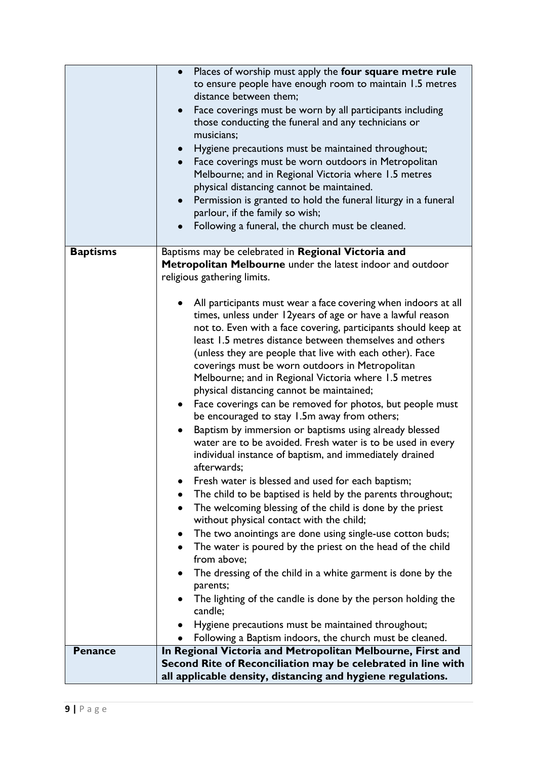|                 | Places of worship must apply the four square metre rule<br>$\bullet$<br>to ensure people have enough room to maintain 1.5 metres<br>distance between them;<br>Face coverings must be worn by all participants including<br>$\bullet$<br>those conducting the funeral and any technicians or<br>musicians;<br>Hygiene precautions must be maintained throughout;<br>$\bullet$<br>Face coverings must be worn outdoors in Metropolitan<br>Melbourne; and in Regional Victoria where 1.5 metres<br>physical distancing cannot be maintained.<br>Permission is granted to hold the funeral liturgy in a funeral<br>parlour, if the family so wish;<br>Following a funeral, the church must be cleaned.                                                                                                                                                                                                                                                                                                                                                                                                                                                                                                                                                                                                                                                                                                                                                                                                                                             |
|-----------------|------------------------------------------------------------------------------------------------------------------------------------------------------------------------------------------------------------------------------------------------------------------------------------------------------------------------------------------------------------------------------------------------------------------------------------------------------------------------------------------------------------------------------------------------------------------------------------------------------------------------------------------------------------------------------------------------------------------------------------------------------------------------------------------------------------------------------------------------------------------------------------------------------------------------------------------------------------------------------------------------------------------------------------------------------------------------------------------------------------------------------------------------------------------------------------------------------------------------------------------------------------------------------------------------------------------------------------------------------------------------------------------------------------------------------------------------------------------------------------------------------------------------------------------------|
| <b>Baptisms</b> | Baptisms may be celebrated in Regional Victoria and<br>Metropolitan Melbourne under the latest indoor and outdoor<br>religious gathering limits.<br>All participants must wear a face covering when indoors at all<br>times, unless under 12years of age or have a lawful reason<br>not to. Even with a face covering, participants should keep at<br>least 1.5 metres distance between themselves and others<br>(unless they are people that live with each other). Face<br>coverings must be worn outdoors in Metropolitan<br>Melbourne; and in Regional Victoria where 1.5 metres<br>physical distancing cannot be maintained;<br>Face coverings can be removed for photos, but people must<br>٠<br>be encouraged to stay 1.5m away from others;<br>Baptism by immersion or baptisms using already blessed<br>water are to be avoided. Fresh water is to be used in every<br>individual instance of baptism, and immediately drained<br>afterwards;<br>Fresh water is blessed and used for each baptism;<br>The child to be baptised is held by the parents throughout;<br>The welcoming blessing of the child is done by the priest<br>without physical contact with the child;<br>The two anointings are done using single-use cotton buds;<br>٠<br>The water is poured by the priest on the head of the child<br>from above;<br>The dressing of the child in a white garment is done by the<br>parents;<br>The lighting of the candle is done by the person holding the<br>candle;<br>Hygiene precautions must be maintained throughout; |
|                 | Following a Baptism indoors, the church must be cleaned.                                                                                                                                                                                                                                                                                                                                                                                                                                                                                                                                                                                                                                                                                                                                                                                                                                                                                                                                                                                                                                                                                                                                                                                                                                                                                                                                                                                                                                                                                       |
| <b>Penance</b>  | In Regional Victoria and Metropolitan Melbourne, First and<br>Second Rite of Reconciliation may be celebrated in line with<br>all applicable density, distancing and hygiene regulations.                                                                                                                                                                                                                                                                                                                                                                                                                                                                                                                                                                                                                                                                                                                                                                                                                                                                                                                                                                                                                                                                                                                                                                                                                                                                                                                                                      |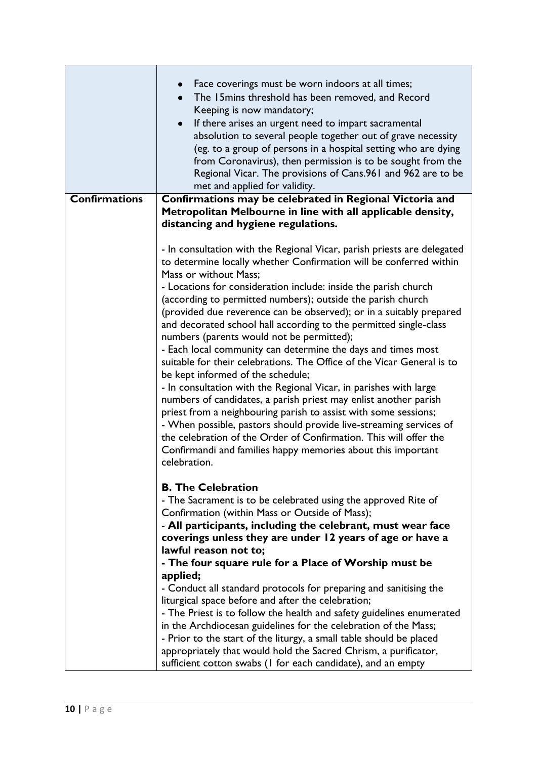|                      | Face coverings must be worn indoors at all times;<br>The 15 mins threshold has been removed, and Record<br>$\bullet$<br>Keeping is now mandatory;<br>If there arises an urgent need to impart sacramental<br>$\bullet$<br>absolution to several people together out of grave necessity<br>(eg. to a group of persons in a hospital setting who are dying<br>from Coronavirus), then permission is to be sought from the<br>Regional Vicar. The provisions of Cans.961 and 962 are to be<br>met and applied for validity. |
|----------------------|--------------------------------------------------------------------------------------------------------------------------------------------------------------------------------------------------------------------------------------------------------------------------------------------------------------------------------------------------------------------------------------------------------------------------------------------------------------------------------------------------------------------------|
| <b>Confirmations</b> | Confirmations may be celebrated in Regional Victoria and                                                                                                                                                                                                                                                                                                                                                                                                                                                                 |
|                      | Metropolitan Melbourne in line with all applicable density,                                                                                                                                                                                                                                                                                                                                                                                                                                                              |
|                      | distancing and hygiene regulations.                                                                                                                                                                                                                                                                                                                                                                                                                                                                                      |
|                      |                                                                                                                                                                                                                                                                                                                                                                                                                                                                                                                          |
|                      | - In consultation with the Regional Vicar, parish priests are delegated<br>to determine locally whether Confirmation will be conferred within<br>Mass or without Mass;                                                                                                                                                                                                                                                                                                                                                   |
|                      | - Locations for consideration include: inside the parish church                                                                                                                                                                                                                                                                                                                                                                                                                                                          |
|                      | (according to permitted numbers); outside the parish church                                                                                                                                                                                                                                                                                                                                                                                                                                                              |
|                      | (provided due reverence can be observed); or in a suitably prepared                                                                                                                                                                                                                                                                                                                                                                                                                                                      |
|                      | and decorated school hall according to the permitted single-class                                                                                                                                                                                                                                                                                                                                                                                                                                                        |
|                      | numbers (parents would not be permitted);                                                                                                                                                                                                                                                                                                                                                                                                                                                                                |
|                      | - Each local community can determine the days and times most                                                                                                                                                                                                                                                                                                                                                                                                                                                             |
|                      | suitable for their celebrations. The Office of the Vicar General is to                                                                                                                                                                                                                                                                                                                                                                                                                                                   |
|                      | be kept informed of the schedule;                                                                                                                                                                                                                                                                                                                                                                                                                                                                                        |
|                      | - In consultation with the Regional Vicar, in parishes with large                                                                                                                                                                                                                                                                                                                                                                                                                                                        |
|                      | numbers of candidates, a parish priest may enlist another parish<br>priest from a neighbouring parish to assist with some sessions;                                                                                                                                                                                                                                                                                                                                                                                      |
|                      | - When possible, pastors should provide live-streaming services of                                                                                                                                                                                                                                                                                                                                                                                                                                                       |
|                      | the celebration of the Order of Confirmation. This will offer the                                                                                                                                                                                                                                                                                                                                                                                                                                                        |
|                      | Confirmandi and families happy memories about this important                                                                                                                                                                                                                                                                                                                                                                                                                                                             |
|                      | celebration.                                                                                                                                                                                                                                                                                                                                                                                                                                                                                                             |
|                      |                                                                                                                                                                                                                                                                                                                                                                                                                                                                                                                          |
|                      | <b>B. The Celebration</b>                                                                                                                                                                                                                                                                                                                                                                                                                                                                                                |
|                      | - The Sacrament is to be celebrated using the approved Rite of                                                                                                                                                                                                                                                                                                                                                                                                                                                           |
|                      | Confirmation (within Mass or Outside of Mass);                                                                                                                                                                                                                                                                                                                                                                                                                                                                           |
|                      | - All participants, including the celebrant, must wear face                                                                                                                                                                                                                                                                                                                                                                                                                                                              |
|                      | coverings unless they are under 12 years of age or have a                                                                                                                                                                                                                                                                                                                                                                                                                                                                |
|                      | lawful reason not to:                                                                                                                                                                                                                                                                                                                                                                                                                                                                                                    |
|                      | - The four square rule for a Place of Worship must be                                                                                                                                                                                                                                                                                                                                                                                                                                                                    |
|                      | applied;                                                                                                                                                                                                                                                                                                                                                                                                                                                                                                                 |
|                      | - Conduct all standard protocols for preparing and sanitising the                                                                                                                                                                                                                                                                                                                                                                                                                                                        |
|                      | liturgical space before and after the celebration;<br>- The Priest is to follow the health and safety guidelines enumerated                                                                                                                                                                                                                                                                                                                                                                                              |
|                      | in the Archdiocesan guidelines for the celebration of the Mass;                                                                                                                                                                                                                                                                                                                                                                                                                                                          |
|                      | - Prior to the start of the liturgy, a small table should be placed                                                                                                                                                                                                                                                                                                                                                                                                                                                      |
|                      | appropriately that would hold the Sacred Chrism, a purificator,                                                                                                                                                                                                                                                                                                                                                                                                                                                          |
|                      | sufficient cotton swabs (I for each candidate), and an empty                                                                                                                                                                                                                                                                                                                                                                                                                                                             |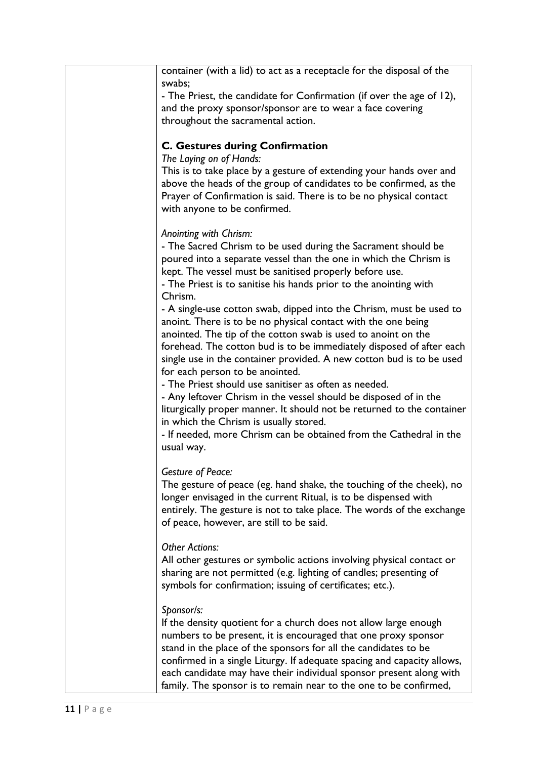| container (with a lid) to act as a receptacle for the disposal of the        |
|------------------------------------------------------------------------------|
| swabs;                                                                       |
| - The Priest, the candidate for Confirmation (if over the age of 12),        |
| and the proxy sponsor/sponsor are to wear a face covering                    |
| throughout the sacramental action.                                           |
|                                                                              |
| <b>C. Gestures during Confirmation</b>                                       |
| The Laying on of Hands:                                                      |
| This is to take place by a gesture of extending your hands over and          |
| above the heads of the group of candidates to be confirmed, as the           |
| Prayer of Confirmation is said. There is to be no physical contact           |
| with anyone to be confirmed.                                                 |
|                                                                              |
| Anointing with Chrism:                                                       |
| - The Sacred Chrism to be used during the Sacrament should be                |
| poured into a separate vessel than the one in which the Chrism is            |
| kept. The vessel must be sanitised properly before use.                      |
| - The Priest is to sanitise his hands prior to the anointing with<br>Chrism. |
| - A single-use cotton swab, dipped into the Chrism, must be used to          |
| anoint. There is to be no physical contact with the one being                |
| anointed. The tip of the cotton swab is used to anoint on the                |
| forehead. The cotton bud is to be immediately disposed of after each         |
| single use in the container provided. A new cotton bud is to be used         |
| for each person to be anointed.                                              |
| - The Priest should use sanitiser as often as needed.                        |
| - Any leftover Chrism in the vessel should be disposed of in the             |
| liturgically proper manner. It should not be returned to the container       |
| in which the Chrism is usually stored.                                       |
| - If needed, more Chrism can be obtained from the Cathedral in the           |
| usual way.                                                                   |
|                                                                              |
| <b>Gesture of Peace:</b>                                                     |
| The gesture of peace (eg. hand shake, the touching of the cheek), no         |
| longer envisaged in the current Ritual, is to be dispensed with              |
| entirely. The gesture is not to take place. The words of the exchange        |
| of peace, however, are still to be said.                                     |
| <b>Other Actions:</b>                                                        |
| All other gestures or symbolic actions involving physical contact or         |
| sharing are not permitted (e.g. lighting of candles; presenting of           |
| symbols for confirmation; issuing of certificates; etc.).                    |
|                                                                              |
| Sponsor/s:                                                                   |
| If the density quotient for a church does not allow large enough             |
| numbers to be present, it is encouraged that one proxy sponsor               |
| stand in the place of the sponsors for all the candidates to be              |
| confirmed in a single Liturgy. If adequate spacing and capacity allows,      |
| each candidate may have their individual sponsor present along with          |
| family. The sponsor is to remain near to the one to be confirmed,            |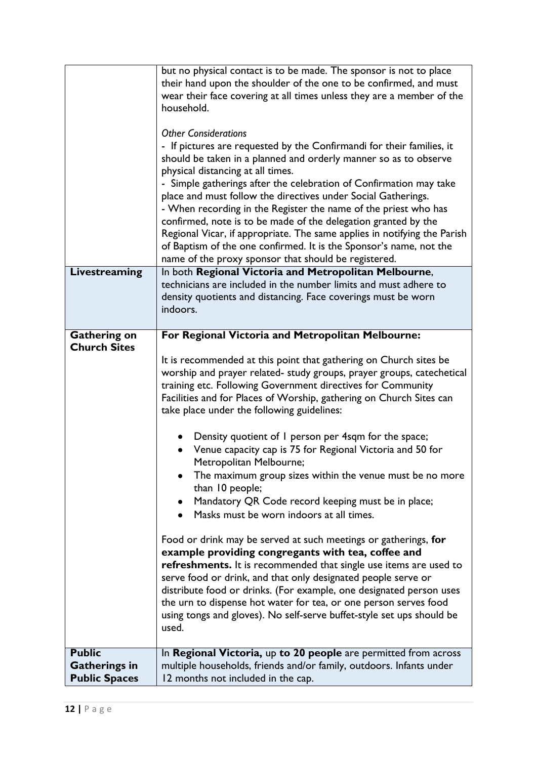|                      | but no physical contact is to be made. The sponsor is not to place       |
|----------------------|--------------------------------------------------------------------------|
|                      | their hand upon the shoulder of the one to be confirmed, and must        |
|                      | wear their face covering at all times unless they are a member of the    |
|                      | household.                                                               |
|                      |                                                                          |
|                      | <b>Other Considerations</b>                                              |
|                      | - If pictures are requested by the Confirmandi for their families, it    |
|                      | should be taken in a planned and orderly manner so as to observe         |
|                      | physical distancing at all times.                                        |
|                      | - Simple gatherings after the celebration of Confirmation may take       |
|                      | place and must follow the directives under Social Gatherings.            |
|                      | - When recording in the Register the name of the priest who has          |
|                      | confirmed, note is to be made of the delegation granted by the           |
|                      | Regional Vicar, if appropriate. The same applies in notifying the Parish |
|                      |                                                                          |
|                      | of Baptism of the one confirmed. It is the Sponsor's name, not the       |
|                      | name of the proxy sponsor that should be registered.                     |
| Livestreaming        | In both Regional Victoria and Metropolitan Melbourne,                    |
|                      | technicians are included in the number limits and must adhere to         |
|                      | density quotients and distancing. Face coverings must be worn            |
|                      | indoors.                                                                 |
|                      |                                                                          |
| <b>Gathering on</b>  | For Regional Victoria and Metropolitan Melbourne:                        |
| <b>Church Sites</b>  |                                                                          |
|                      | It is recommended at this point that gathering on Church sites be        |
|                      | worship and prayer related- study groups, prayer groups, catechetical    |
|                      | training etc. Following Government directives for Community              |
|                      | Facilities and for Places of Worship, gathering on Church Sites can      |
|                      | take place under the following guidelines:                               |
|                      |                                                                          |
|                      | Density quotient of I person per 4sqm for the space;                     |
|                      | Venue capacity cap is 75 for Regional Victoria and 50 for                |
|                      | Metropolitan Melbourne;                                                  |
|                      | The maximum group sizes within the venue must be no more                 |
|                      | than 10 people;                                                          |
|                      | Mandatory QR Code record keeping must be in place;                       |
|                      | Masks must be worn indoors at all times.                                 |
|                      |                                                                          |
|                      | Food or drink may be served at such meetings or gatherings, for          |
|                      | example providing congregants with tea, coffee and                       |
|                      | refreshments. It is recommended that single use items are used to        |
|                      | serve food or drink, and that only designated people serve or            |
|                      |                                                                          |
|                      | distribute food or drinks. (For example, one designated person uses      |
|                      | the urn to dispense hot water for tea, or one person serves food         |
|                      | using tongs and gloves). No self-serve buffet-style set ups should be    |
|                      | used.                                                                    |
|                      |                                                                          |
| <b>Public</b>        | In Regional Victoria, up to 20 people are permitted from across          |
| <b>Gatherings in</b> | multiple households, friends and/or family, outdoors. Infants under      |
| <b>Public Spaces</b> | 12 months not included in the cap.                                       |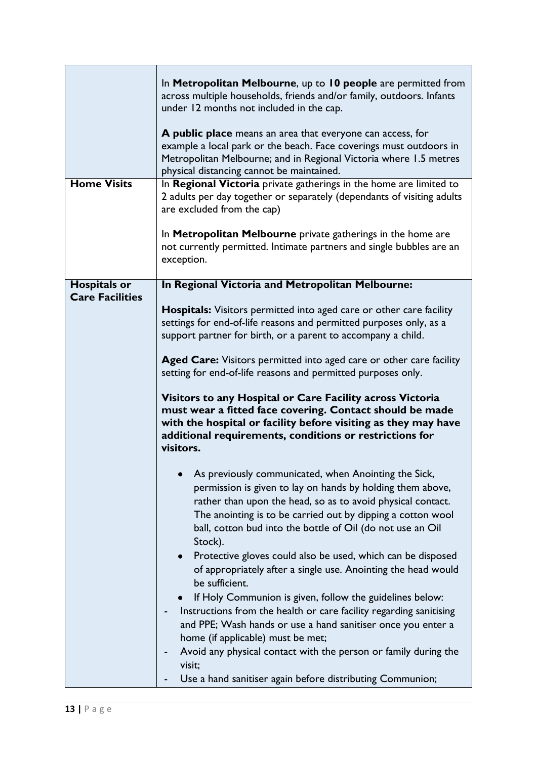|                        | In Metropolitan Melbourne, up to 10 people are permitted from<br>across multiple households, friends and/or family, outdoors. Infants<br>under 12 months not included in the cap.<br>A public place means an area that everyone can access, for<br>example a local park or the beach. Face coverings must outdoors in<br>Metropolitan Melbourne; and in Regional Victoria where 1.5 metres<br>physical distancing cannot be maintained. |
|------------------------|-----------------------------------------------------------------------------------------------------------------------------------------------------------------------------------------------------------------------------------------------------------------------------------------------------------------------------------------------------------------------------------------------------------------------------------------|
| <b>Home Visits</b>     | In Regional Victoria private gatherings in the home are limited to<br>2 adults per day together or separately (dependants of visiting adults<br>are excluded from the cap)<br>In Metropolitan Melbourne private gatherings in the home are                                                                                                                                                                                              |
|                        | not currently permitted. Intimate partners and single bubbles are an<br>exception.                                                                                                                                                                                                                                                                                                                                                      |
| <b>Hospitals or</b>    | In Regional Victoria and Metropolitan Melbourne:                                                                                                                                                                                                                                                                                                                                                                                        |
| <b>Care Facilities</b> | <b>Hospitals:</b> Visitors permitted into aged care or other care facility<br>settings for end-of-life reasons and permitted purposes only, as a<br>support partner for birth, or a parent to accompany a child.<br>Aged Care: Visitors permitted into aged care or other care facility<br>setting for end-of-life reasons and permitted purposes only.                                                                                 |
|                        | Visitors to any Hospital or Care Facility across Victoria<br>must wear a fitted face covering. Contact should be made<br>with the hospital or facility before visiting as they may have<br>additional requirements, conditions or restrictions for<br>visitors.                                                                                                                                                                         |
|                        | As previously communicated, when Anointing the Sick,<br>permission is given to lay on hands by holding them above,<br>rather than upon the head, so as to avoid physical contact.<br>The anointing is to be carried out by dipping a cotton wool<br>ball, cotton bud into the bottle of Oil (do not use an Oil<br>Stock).                                                                                                               |
|                        | Protective gloves could also be used, which can be disposed<br>of appropriately after a single use. Anointing the head would<br>be sufficient.                                                                                                                                                                                                                                                                                          |
|                        | If Holy Communion is given, follow the guidelines below:<br>Instructions from the health or care facility regarding sanitising<br>and PPE; Wash hands or use a hand sanitiser once you enter a<br>home (if applicable) must be met;<br>Avoid any physical contact with the person or family during the<br>visit;<br>Use a hand sanitiser again before distributing Communion;                                                           |